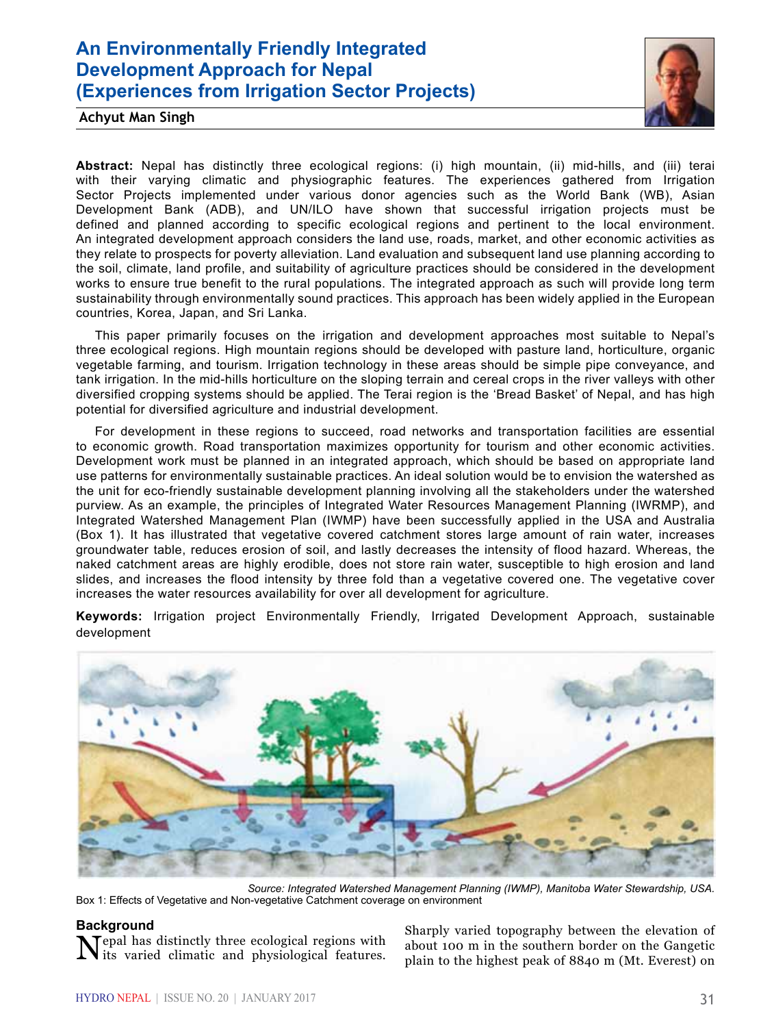# **An Environmentally Friendly Integrated Development Approach for Nepal (Experiences from Irrigation Sector Projects)**



**Achyut Man Singh**

**Abstract:** Nepal has distinctly three ecological regions: (i) high mountain, (ii) mid-hills, and (iii) terai with their varying climatic and physiographic features. The experiences gathered from Irrigation Sector Projects implemented under various donor agencies such as the World Bank (WB), Asian Development Bank (ADB), and UN/ILO have shown that successful irrigation projects must be defined and planned according to specific ecological regions and pertinent to the local environment. An integrated development approach considers the land use, roads, market, and other economic activities as they relate to prospects for poverty alleviation. Land evaluation and subsequent land use planning according to the soil, climate, land profile, and suitability of agriculture practices should be considered in the development works to ensure true benefit to the rural populations. The integrated approach as such will provide long term sustainability through environmentally sound practices. This approach has been widely applied in the European countries, Korea, Japan, and Sri Lanka.

This paper primarily focuses on the irrigation and development approaches most suitable to Nepal's three ecological regions. High mountain regions should be developed with pasture land, horticulture, organic vegetable farming, and tourism. Irrigation technology in these areas should be simple pipe conveyance, and tank irrigation. In the mid-hills horticulture on the sloping terrain and cereal crops in the river valleys with other diversified cropping systems should be applied. The Terai region is the 'Bread Basket' of Nepal, and has high potential for diversified agriculture and industrial development.

For development in these regions to succeed, road networks and transportation facilities are essential to economic growth. Road transportation maximizes opportunity for tourism and other economic activities. Development work must be planned in an integrated approach, which should be based on appropriate land use patterns for environmentally sustainable practices. An ideal solution would be to envision the watershed as the unit for eco-friendly sustainable development planning involving all the stakeholders under the watershed purview. As an example, the principles of Integrated Water Resources Management Planning (IWRMP), and Integrated Watershed Management Plan (IWMP) have been successfully applied in the USA and Australia (Box 1). It has illustrated that vegetative covered catchment stores large amount of rain water, increases groundwater table, reduces erosion of soil, and lastly decreases the intensity of flood hazard. Whereas, the naked catchment areas are highly erodible, does not store rain water, susceptible to high erosion and land slides, and increases the flood intensity by three fold than a vegetative covered one. The vegetative cover increases the water resources availability for over all development for agriculture.

**Keywords:** Irrigation project Environmentally Friendly, Irrigated Development Approach, sustainable development



*Source: Integrated Watershed Management Planning (IWMP), Manitoba Water Stewardship, USA.* Box 1: Effects of Vegetative and Non-vegetative Catchment coverage on environment

**Background**<br>**N**Tepal has distinctly three ecological regions with Nepal has distinctly three ecological regions with its varied climatic and physiological features.

Sharply varied topography between the elevation of about 100 m in the southern border on the Gangetic plain to the highest peak of 8840 m (Mt. Everest) on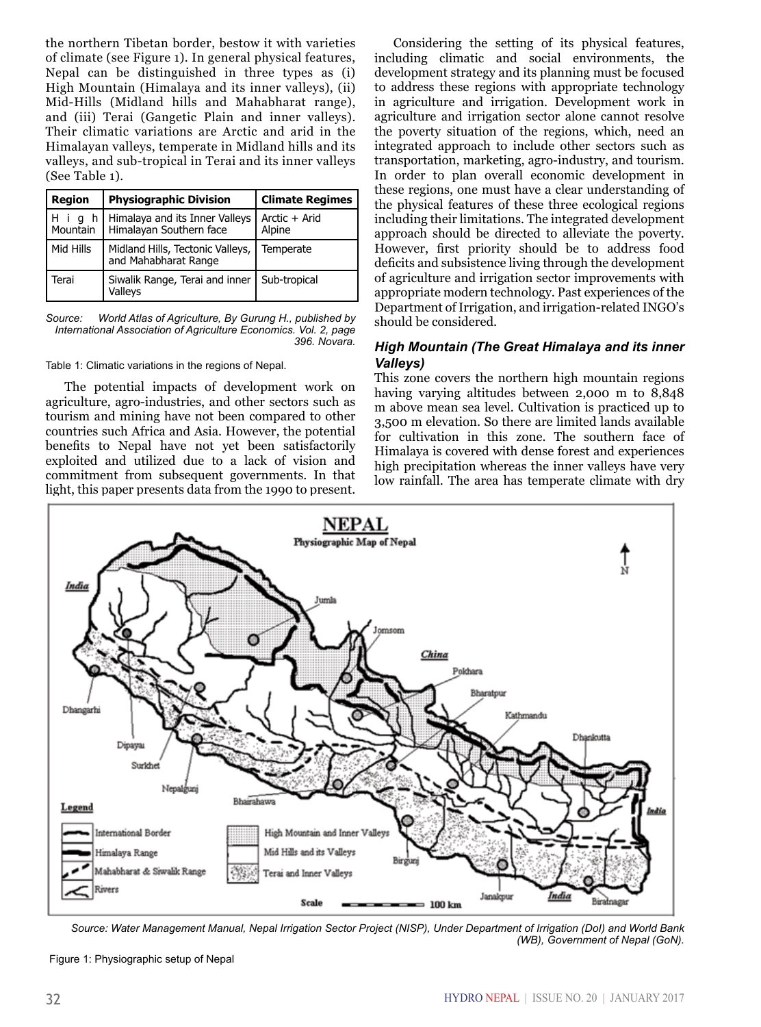the northern Tibetan border, bestow it with varieties of climate (see Figure 1). In general physical features, Nepal can be distinguished in three types as (i) High Mountain (Himalaya and its inner valleys), (ii) Mid-Hills (Midland hills and Mahabharat range), and (iii) Terai (Gangetic Plain and inner valleys). Their climatic variations are Arctic and arid in the Himalayan valleys, temperate in Midland hills and its valleys, and sub-tropical in Terai and its inner valleys (See Table 1).

| <b>Region</b>   | <b>Physiographic Division</b>                                 | <b>Climate Regimes</b>  |
|-----------------|---------------------------------------------------------------|-------------------------|
| Hiq<br>Mountain | h   Himalaya and its Inner Valleys<br>Himalayan Southern face | Arctic + Arid<br>Alpine |
| Mid Hills       | Midland Hills, Tectonic Valleys,<br>and Mahabharat Range      | Temperate               |
| Terai           | Siwalik Range, Terai and inner   Sub-tropical<br>Valleys      |                         |

*Source: World Atlas of Agriculture, By Gurung H., published by International Association of Agriculture Economics. Vol. 2, page 396. Novara.*

Table 1: Climatic variations in the regions of Nepal.

The potential impacts of development work on agriculture, agro-industries, and other sectors such as tourism and mining have not been compared to other countries such Africa and Asia. However, the potential benefits to Nepal have not yet been satisfactorily exploited and utilized due to a lack of vision and commitment from subsequent governments. In that light, this paper presents data from the 1990 to present.

Considering the setting of its physical features, including climatic and social environments, the development strategy and its planning must be focused to address these regions with appropriate technology in agriculture and irrigation. Development work in agriculture and irrigation sector alone cannot resolve the poverty situation of the regions, which, need an integrated approach to include other sectors such as transportation, marketing, agro-industry, and tourism. In order to plan overall economic development in these regions, one must have a clear understanding of the physical features of these three ecological regions including their limitations. The integrated development approach should be directed to alleviate the poverty. However, first priority should be to address food deficits and subsistence living through the development of agriculture and irrigation sector improvements with appropriate modern technology. Past experiences of the Department of Irrigation, and irrigation-related INGO's should be considered.

# *High Mountain (The Great Himalaya and its inner Valleys)*

This zone covers the northern high mountain regions having varying altitudes between 2,000 m to 8,848 m above mean sea level. Cultivation is practiced up to 3,500 m elevation. So there are limited lands available for cultivation in this zone. The southern face of Himalaya is covered with dense forest and experiences high precipitation whereas the inner valleys have very low rainfall. The area has temperate climate with dry



*Source: Water Management Manual, Nepal Irrigation Sector Project (NISP), Under Department of Irrigation (DoI) and World Bank (WB), Government of Nepal (GoN).*

Figure 1: Physiographic setup of Nepal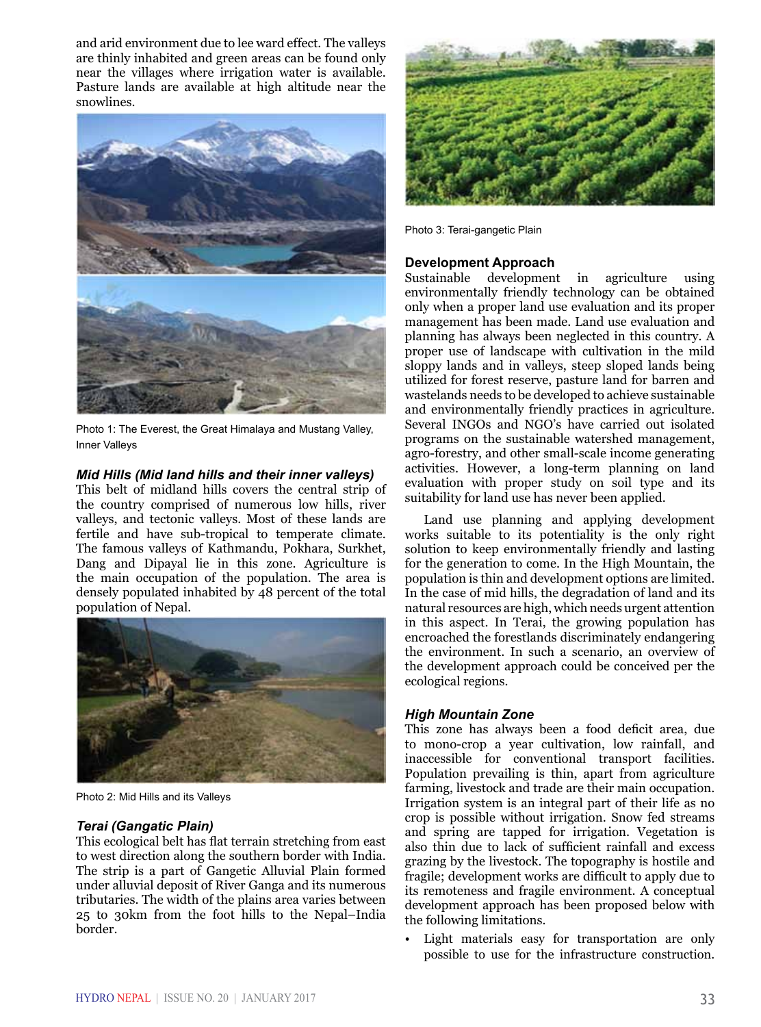and arid environment due to lee ward effect. The valleys are thinly inhabited and green areas can be found only near the villages where irrigation water is available. Pasture lands are available at high altitude near the snowlines.



Photo 1: The Everest, the Great Himalaya and Mustang Valley, Inner Valleys

# *Mid Hills (Mid land hills and their inner valleys)*

This belt of midland hills covers the central strip of the country comprised of numerous low hills, river valleys, and tectonic valleys. Most of these lands are fertile and have sub-tropical to temperate climate. The famous valleys of Kathmandu, Pokhara, Surkhet, Dang and Dipayal lie in this zone. Agriculture is the main occupation of the population. The area is densely populated inhabited by 48 percent of the total population of Nepal.



Photo 2: Mid Hills and its Valleys

# *Terai (Gangatic Plain)*

This ecological belt has flat terrain stretching from east to west direction along the southern border with India. The strip is a part of Gangetic Alluvial Plain formed under alluvial deposit of River Ganga and its numerous tributaries. The width of the plains area varies between 25 to 30km from the foot hills to the Nepal–India border.



Photo 3: Terai-gangetic Plain

**Development Approach**<br>Sustainable development in agriculture using environmentally friendly technology can be obtained only when a proper land use evaluation and its proper management has been made. Land use evaluation and planning has always been neglected in this country. A proper use of landscape with cultivation in the mild sloppy lands and in valleys, steep sloped lands being utilized for forest reserve, pasture land for barren and wastelands needs to be developed to achieve sustainable and environmentally friendly practices in agriculture. Several INGOs and NGO's have carried out isolated programs on the sustainable watershed management, agro-forestry, and other small-scale income generating activities. However, a long-term planning on land evaluation with proper study on soil type and its suitability for land use has never been applied.

Land use planning and applying development works suitable to its potentiality is the only right solution to keep environmentally friendly and lasting for the generation to come. In the High Mountain, the population is thin and development options are limited. In the case of mid hills, the degradation of land and its natural resources are high, which needs urgent attention in this aspect. In Terai, the growing population has encroached the forestlands discriminately endangering the environment. In such a scenario, an overview of the development approach could be conceived per the ecological regions.

# *High Mountain Zone*

This zone has always been a food deficit area, due to mono-crop a year cultivation, low rainfall, and inaccessible for conventional transport facilities. Population prevailing is thin, apart from agriculture farming, livestock and trade are their main occupation. Irrigation system is an integral part of their life as no crop is possible without irrigation. Snow fed streams and spring are tapped for irrigation. Vegetation is also thin due to lack of sufficient rainfall and excess grazing by the livestock. The topography is hostile and fragile; development works are difficult to apply due to its remoteness and fragile environment. A conceptual development approach has been proposed below with the following limitations.

Light materials easy for transportation are only possible to use for the infrastructure construction.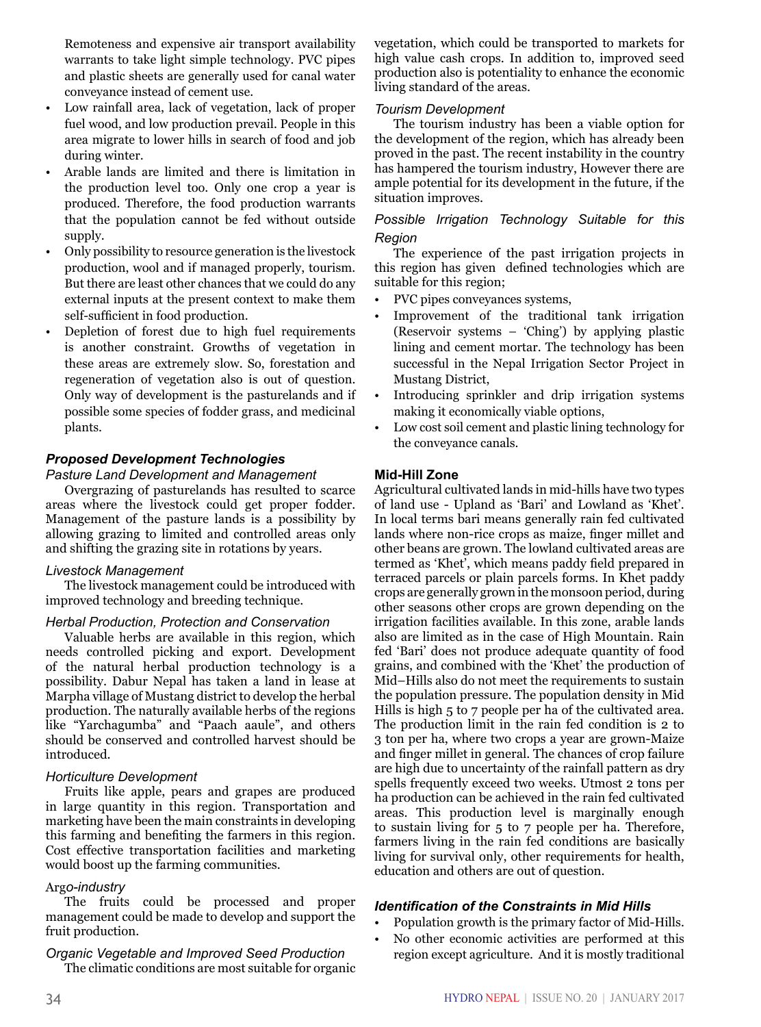Remoteness and expensive air transport availability warrants to take light simple technology. PVC pipes and plastic sheets are generally used for canal water conveyance instead of cement use.

- Low rainfall area, lack of vegetation, lack of proper fuel wood, and low production prevail. People in this area migrate to lower hills in search of food and job during winter.
- Arable lands are limited and there is limitation in the production level too. Only one crop a year is produced. Therefore, the food production warrants that the population cannot be fed without outside supply.
- Only possibility to resource generation is the livestock production, wool and if managed properly, tourism. But there are least other chances that we could do any external inputs at the present context to make them self-sufficient in food production.
- Depletion of forest due to high fuel requirements is another constraint. Growths of vegetation in these areas are extremely slow. So, forestation and regeneration of vegetation also is out of question. Only way of development is the pasturelands and if possible some species of fodder grass, and medicinal plants.

# *Proposed Development Technologies*

#### *Pasture Land Development and Management*

Overgrazing of pasturelands has resulted to scarce areas where the livestock could get proper fodder. Management of the pasture lands is a possibility by allowing grazing to limited and controlled areas only and shifting the grazing site in rotations by years.

#### *Livestock Management*

The livestock management could be introduced with improved technology and breeding technique.

#### *Herbal Production, Protection and Conservation*

Valuable herbs are available in this region, which needs controlled picking and export. Development of the natural herbal production technology is a possibility. Dabur Nepal has taken a land in lease at Marpha village of Mustang district to develop the herbal production. The naturally available herbs of the regions like "Yarchagumba" and "Paach aaule", and others should be conserved and controlled harvest should be introduced.

# *Horticulture Development*

Fruits like apple, pears and grapes are produced in large quantity in this region. Transportation and marketing have been the main constraints in developing this farming and benefiting the farmers in this region. Cost effective transportation facilities and marketing would boost up the farming communities.

# Arg*o-industry*

The fruits could be processed and proper management could be made to develop and support the fruit production.

# *Organic Vegetable and Improved Seed Production*

The climatic conditions are most suitable for organic

vegetation, which could be transported to markets for high value cash crops. In addition to, improved seed production also is potentiality to enhance the economic living standard of the areas.

#### *Tourism Development*

The tourism industry has been a viable option for the development of the region, which has already been proved in the past. The recent instability in the country has hampered the tourism industry, However there are ample potential for its development in the future, if the situation improves.

# *Possible Irrigation Technology Suitable for this Region*

The experience of the past irrigation projects in this region has given defined technologies which are suitable for this region;

- PVC pipes conveyances systems,
- Improvement of the traditional tank irrigation (Reservoir systems – 'Ching') by applying plastic lining and cement mortar. The technology has been successful in the Nepal Irrigation Sector Project in Mustang District,
- Introducing sprinkler and drip irrigation systems making it economically viable options,
- Low cost soil cement and plastic lining technology for the conveyance canals.

# **Mid-Hill Zone**

Agricultural cultivated lands in mid-hills have two types of land use - Upland as 'Bari' and Lowland as 'Khet'. In local terms bari means generally rain fed cultivated lands where non-rice crops as maize, finger millet and other beans are grown. The lowland cultivated areas are termed as 'Khet', which means paddy field prepared in terraced parcels or plain parcels forms. In Khet paddy crops are generally grown in the monsoon period, during other seasons other crops are grown depending on the irrigation facilities available. In this zone, arable lands also are limited as in the case of High Mountain. Rain fed 'Bari' does not produce adequate quantity of food grains, and combined with the 'Khet' the production of Mid–Hills also do not meet the requirements to sustain the population pressure. The population density in Mid Hills is high 5 to 7 people per ha of the cultivated area. The production limit in the rain fed condition is 2 to 3 ton per ha, where two crops a year are grown-Maize and finger millet in general. The chances of crop failure are high due to uncertainty of the rainfall pattern as dry spells frequently exceed two weeks. Utmost 2 tons per ha production can be achieved in the rain fed cultivated areas. This production level is marginally enough to sustain living for 5 to 7 people per ha. Therefore, farmers living in the rain fed conditions are basically living for survival only, other requirements for health, education and others are out of question.

# *Identification of the Constraints in Mid Hills*

- Population growth is the primary factor of Mid-Hills.
- No other economic activities are performed at this region except agriculture. And it is mostly traditional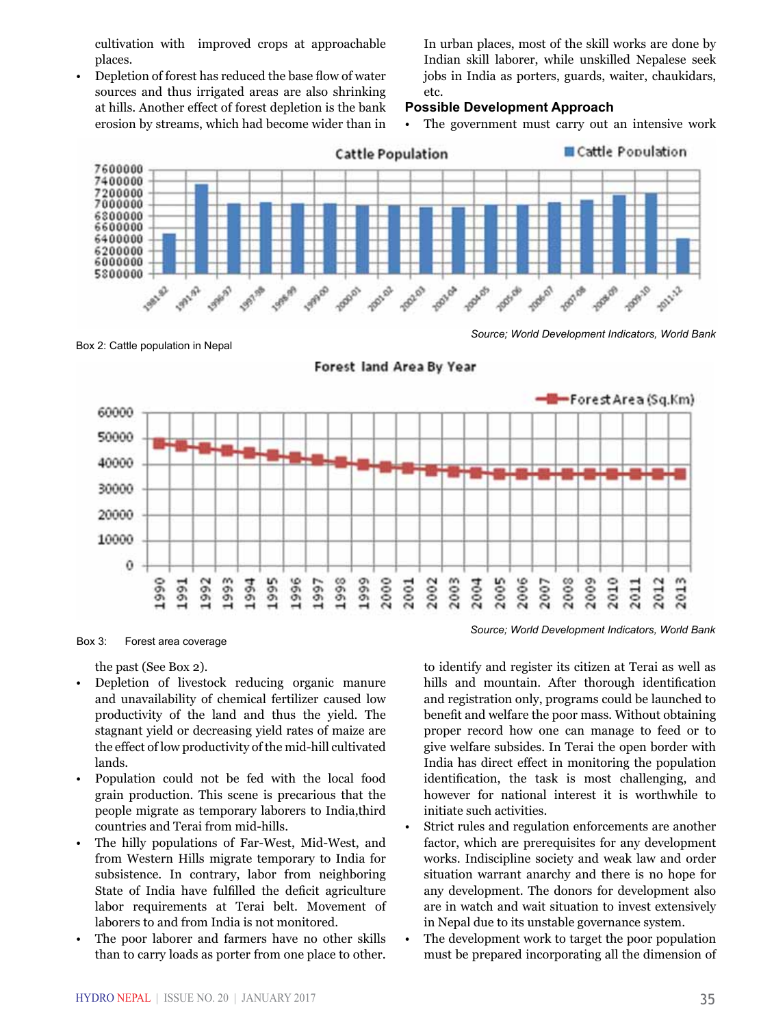cultivation with improved crops at approachable places.

• Depletion of forest has reduced the base flow of water sources and thus irrigated areas are also shrinking at hills. Another effect of forest depletion is the bank erosion by streams, which had become wider than in

In urban places, most of the skill works are done by Indian skill laborer, while unskilled Nepalese seek jobs in India as porters, guards, waiter, chaukidars, etc.

#### **Possible Development Approach**

• The government must carry out an intensive work



Box 2: Cattle population in Nepal

*Source; World Development Indicators, World Bank*



Forest land Area By Year

Box 3: Forest area coverage

the past (See Box 2).

- Depletion of livestock reducing organic manure and unavailability of chemical fertilizer caused low productivity of the land and thus the yield. The stagnant yield or decreasing yield rates of maize are the effect of low productivity of the mid-hill cultivated lands.
- Population could not be fed with the local food grain production. This scene is precarious that the people migrate as temporary laborers to India,third countries and Terai from mid-hills.
- The hilly populations of Far-West, Mid-West, and from Western Hills migrate temporary to India for subsistence. In contrary, labor from neighboring State of India have fulfilled the deficit agriculture labor requirements at Terai belt. Movement of laborers to and from India is not monitored.
- The poor laborer and farmers have no other skills than to carry loads as porter from one place to other.

to identify and register its citizen at Terai as well as hills and mountain. After thorough identification and registration only, programs could be launched to benefit and welfare the poor mass. Without obtaining proper record how one can manage to feed or to give welfare subsides. In Terai the open border with India has direct effect in monitoring the population identification, the task is most challenging, and however for national interest it is worthwhile to initiate such activities.

- Strict rules and regulation enforcements are another factor, which are prerequisites for any development works. Indiscipline society and weak law and order situation warrant anarchy and there is no hope for any development. The donors for development also are in watch and wait situation to invest extensively in Nepal due to its unstable governance system.
- The development work to target the poor population must be prepared incorporating all the dimension of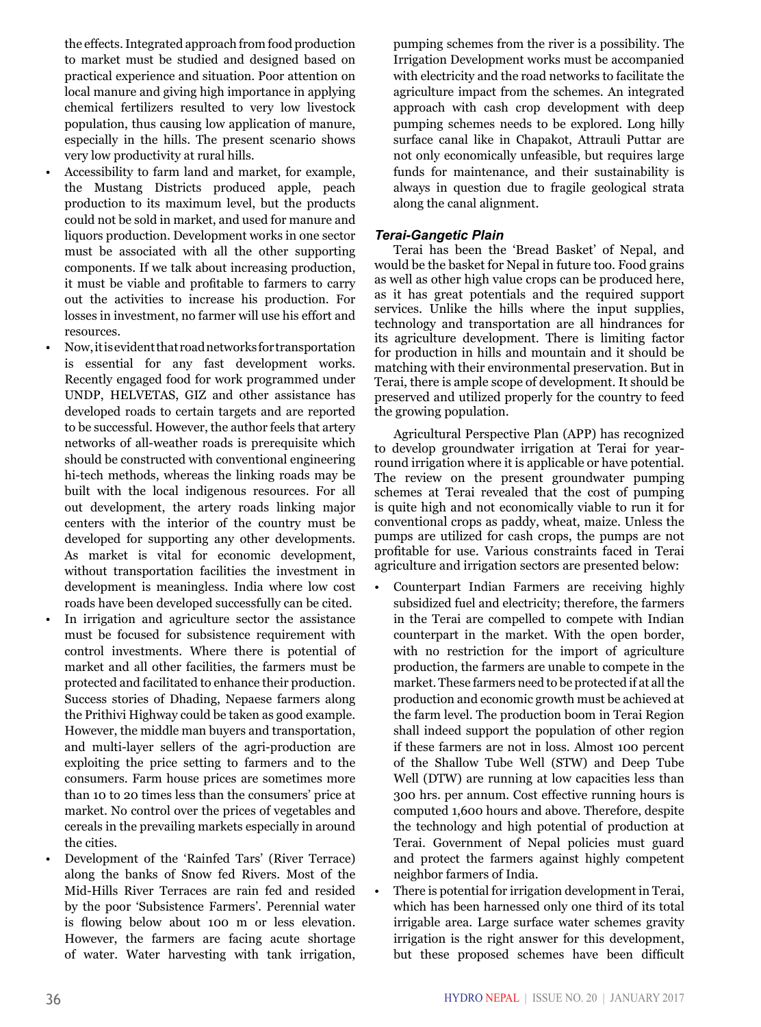the effects. Integrated approach from food production to market must be studied and designed based on practical experience and situation. Poor attention on local manure and giving high importance in applying chemical fertilizers resulted to very low livestock population, thus causing low application of manure, especially in the hills. The present scenario shows very low productivity at rural hills.

- Accessibility to farm land and market, for example, the Mustang Districts produced apple, peach production to its maximum level, but the products could not be sold in market, and used for manure and liquors production. Development works in one sector must be associated with all the other supporting components. If we talk about increasing production, it must be viable and profitable to farmers to carry out the activities to increase his production. For losses in investment, no farmer will use his effort and resources.
- Now, it is evident that road networks for transportation is essential for any fast development works. Recently engaged food for work programmed under UNDP, HELVETAS, GIZ and other assistance has developed roads to certain targets and are reported to be successful. However, the author feels that artery networks of all-weather roads is prerequisite which should be constructed with conventional engineering hi-tech methods, whereas the linking roads may be built with the local indigenous resources. For all out development, the artery roads linking major centers with the interior of the country must be developed for supporting any other developments. As market is vital for economic development, without transportation facilities the investment in development is meaningless. India where low cost roads have been developed successfully can be cited.
- In irrigation and agriculture sector the assistance must be focused for subsistence requirement with control investments. Where there is potential of market and all other facilities, the farmers must be protected and facilitated to enhance their production. Success stories of Dhading, Nepaese farmers along the Prithivi Highway could be taken as good example. However, the middle man buyers and transportation, and multi-layer sellers of the agri-production are exploiting the price setting to farmers and to the consumers. Farm house prices are sometimes more than 10 to 20 times less than the consumers' price at market. No control over the prices of vegetables and cereals in the prevailing markets especially in around the cities.
- Development of the 'Rainfed Tars' (River Terrace) along the banks of Snow fed Rivers. Most of the Mid-Hills River Terraces are rain fed and resided by the poor 'Subsistence Farmers'. Perennial water is flowing below about 100 m or less elevation. However, the farmers are facing acute shortage of water. Water harvesting with tank irrigation,

pumping schemes from the river is a possibility. The Irrigation Development works must be accompanied with electricity and the road networks to facilitate the agriculture impact from the schemes. An integrated approach with cash crop development with deep pumping schemes needs to be explored. Long hilly surface canal like in Chapakot, Attrauli Puttar are not only economically unfeasible, but requires large funds for maintenance, and their sustainability is always in question due to fragile geological strata along the canal alignment.

# *Terai-Gangetic Plain*

Terai has been the 'Bread Basket' of Nepal, and would be the basket for Nepal in future too. Food grains as well as other high value crops can be produced here, as it has great potentials and the required support services. Unlike the hills where the input supplies, technology and transportation are all hindrances for its agriculture development. There is limiting factor for production in hills and mountain and it should be matching with their environmental preservation. But in Terai, there is ample scope of development. It should be preserved and utilized properly for the country to feed the growing population.

Agricultural Perspective Plan (APP) has recognized to develop groundwater irrigation at Terai for yearround irrigation where it is applicable or have potential. The review on the present groundwater pumping schemes at Terai revealed that the cost of pumping is quite high and not economically viable to run it for conventional crops as paddy, wheat, maize. Unless the pumps are utilized for cash crops, the pumps are not profitable for use. Various constraints faced in Terai agriculture and irrigation sectors are presented below:

- Counterpart Indian Farmers are receiving highly subsidized fuel and electricity; therefore, the farmers in the Terai are compelled to compete with Indian counterpart in the market. With the open border, with no restriction for the import of agriculture production, the farmers are unable to compete in the market. These farmers need to be protected if at all the production and economic growth must be achieved at the farm level. The production boom in Terai Region shall indeed support the population of other region if these farmers are not in loss. Almost 100 percent of the Shallow Tube Well (STW) and Deep Tube Well (DTW) are running at low capacities less than 300 hrs. per annum. Cost effective running hours is computed 1,600 hours and above. Therefore, despite the technology and high potential of production at Terai. Government of Nepal policies must guard and protect the farmers against highly competent neighbor farmers of India.
- There is potential for irrigation development in Terai, which has been harnessed only one third of its total irrigable area. Large surface water schemes gravity irrigation is the right answer for this development, but these proposed schemes have been difficult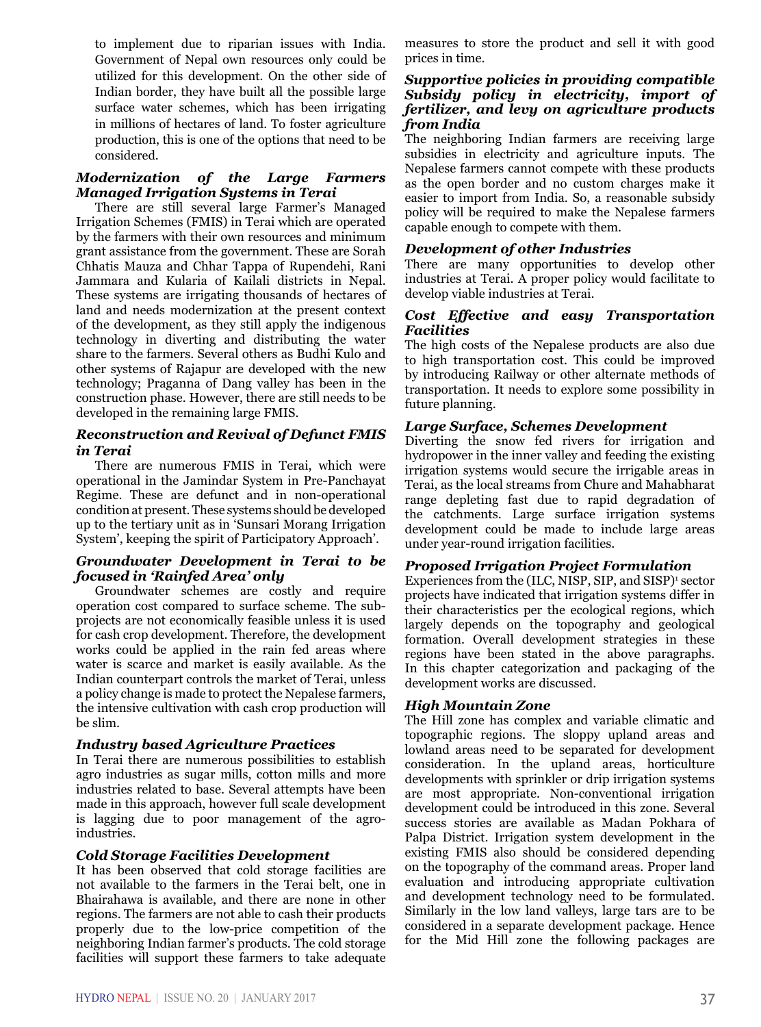to implement due to riparian issues with India. Government of Nepal own resources only could be utilized for this development. On the other side of Indian border, they have built all the possible large surface water schemes, which has been irrigating in millions of hectares of land. To foster agriculture production, this is one of the options that need to be considered.

# *Modernization of the Large Farmers Managed Irrigation Systems in Terai*

There are still several large Farmer's Managed Irrigation Schemes (FMIS) in Terai which are operated by the farmers with their own resources and minimum grant assistance from the government. These are Sorah Chhatis Mauza and Chhar Tappa of Rupendehi, Rani Jammara and Kularia of Kailali districts in Nepal. These systems are irrigating thousands of hectares of land and needs modernization at the present context of the development, as they still apply the indigenous technology in diverting and distributing the water share to the farmers. Several others as Budhi Kulo and other systems of Rajapur are developed with the new technology; Praganna of Dang valley has been in the construction phase. However, there are still needs to be developed in the remaining large FMIS.

# *Reconstruction and Revival of Defunct FMIS in Terai*

There are numerous FMIS in Terai, which were operational in the Jamindar System in Pre-Panchayat Regime. These are defunct and in non-operational condition at present. These systems should be developed up to the tertiary unit as in 'Sunsari Morang Irrigation System', keeping the spirit of Participatory Approach'.

#### *Groundwater Development in Terai to be focused in 'Rainfed Area' only*

Groundwater schemes are costly and require operation cost compared to surface scheme. The subprojects are not economically feasible unless it is used for cash crop development. Therefore, the development works could be applied in the rain fed areas where water is scarce and market is easily available. As the Indian counterpart controls the market of Terai, unless a policy change is made to protect the Nepalese farmers, the intensive cultivation with cash crop production will be slim.

# *Industry based Agriculture Practices*

In Terai there are numerous possibilities to establish agro industries as sugar mills, cotton mills and more industries related to base. Several attempts have been made in this approach, however full scale development is lagging due to poor management of the agroindustries.

# *Cold Storage Facilities Development*

It has been observed that cold storage facilities are not available to the farmers in the Terai belt, one in Bhairahawa is available, and there are none in other regions. The farmers are not able to cash their products properly due to the low-price competition of the neighboring Indian farmer's products. The cold storage facilities will support these farmers to take adequate

measures to store the product and sell it with good prices in time.

#### *Supportive policies in providing compatible Subsidy policy in electricity, import of fertilizer, and levy on agriculture products from India*

The neighboring Indian farmers are receiving large subsidies in electricity and agriculture inputs. The Nepalese farmers cannot compete with these products as the open border and no custom charges make it easier to import from India. So, a reasonable subsidy policy will be required to make the Nepalese farmers capable enough to compete with them.

# *Development of other Industries*

There are many opportunities to develop other industries at Terai. A proper policy would facilitate to develop viable industries at Terai.

# *Cost Effective and easy Transportation Facilities*

The high costs of the Nepalese products are also due to high transportation cost. This could be improved by introducing Railway or other alternate methods of transportation. It needs to explore some possibility in future planning.

# *Large Surface, Schemes Development*

Diverting the snow fed rivers for irrigation and hydropower in the inner valley and feeding the existing irrigation systems would secure the irrigable areas in Terai, as the local streams from Chure and Mahabharat range depleting fast due to rapid degradation of the catchments. Large surface irrigation systems development could be made to include large areas under year-round irrigation facilities.

# *Proposed Irrigation Project Formulation*

Experiences from the (ILC, NISP, SIP, and SISP)<sup>1</sup> sector projects have indicated that irrigation systems differ in their characteristics per the ecological regions, which largely depends on the topography and geological formation. Overall development strategies in these regions have been stated in the above paragraphs. In this chapter categorization and packaging of the development works are discussed.

# *High Mountain Zone*

The Hill zone has complex and variable climatic and topographic regions. The sloppy upland areas and lowland areas need to be separated for development consideration. In the upland areas, horticulture developments with sprinkler or drip irrigation systems are most appropriate. Non-conventional irrigation development could be introduced in this zone. Several success stories are available as Madan Pokhara of Palpa District. Irrigation system development in the existing FMIS also should be considered depending on the topography of the command areas. Proper land evaluation and introducing appropriate cultivation and development technology need to be formulated. Similarly in the low land valleys, large tars are to be considered in a separate development package. Hence for the Mid Hill zone the following packages are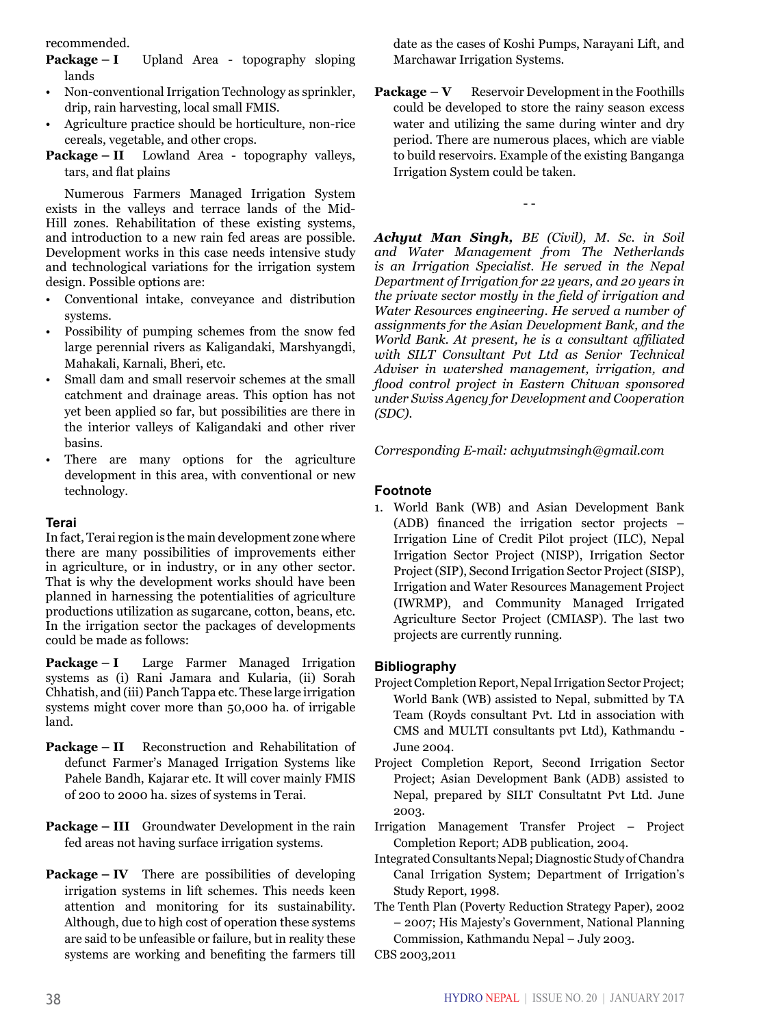recommended.

- **Package I** Upland Area topography sloping lands
- Non-conventional Irrigation Technology as sprinkler, drip, rain harvesting, local small FMIS.
- Agriculture practice should be horticulture, non-rice cereals, vegetable, and other crops.
- **Package II** Lowland Area topography valleys, tars, and flat plains

Numerous Farmers Managed Irrigation System exists in the valleys and terrace lands of the Mid-Hill zones. Rehabilitation of these existing systems, and introduction to a new rain fed areas are possible. Development works in this case needs intensive study and technological variations for the irrigation system design. Possible options are:

- Conventional intake, conveyance and distribution systems.
- Possibility of pumping schemes from the snow fed large perennial rivers as Kaligandaki, Marshyangdi, Mahakali, Karnali, Bheri, etc.
- Small dam and small reservoir schemes at the small catchment and drainage areas. This option has not yet been applied so far, but possibilities are there in the interior valleys of Kaligandaki and other river basins.
- There are many options for the agriculture development in this area, with conventional or new technology.

# **Terai**

In fact, Terai region is the main development zone where there are many possibilities of improvements either in agriculture, or in industry, or in any other sector. That is why the development works should have been planned in harnessing the potentialities of agriculture productions utilization as sugarcane, cotton, beans, etc. In the irrigation sector the packages of developments could be made as follows:

**Package – I** Large Farmer Managed Irrigation systems as (i) Rani Jamara and Kularia, (ii) Sorah Chhatish, and (iii) Panch Tappa etc. These large irrigation systems might cover more than 50,000 ha. of irrigable land.

- **Package II** Reconstruction and Rehabilitation of defunct Farmer's Managed Irrigation Systems like Pahele Bandh, Kajarar etc. It will cover mainly FMIS of 200 to 2000 ha. sizes of systems in Terai.
- **Package III** Groundwater Development in the rain fed areas not having surface irrigation systems.
- **Package IV** There are possibilities of developing irrigation systems in lift schemes. This needs keen attention and monitoring for its sustainability. Although, due to high cost of operation these systems are said to be unfeasible or failure, but in reality these systems are working and benefiting the farmers till

date as the cases of Koshi Pumps, Narayani Lift, and Marchawar Irrigation Systems.

**Package – V** Reservoir Development in the Foothills could be developed to store the rainy season excess water and utilizing the same during winter and dry period. There are numerous places, which are viable to build reservoirs. Example of the existing Banganga Irrigation System could be taken.

- -

*Achyut Man Singh, BE (Civil), M. Sc. in Soil and Water Management from The Netherlands is an Irrigation Specialist. He served in the Nepal Department of Irrigation for 22 years, and 20 years in the private sector mostly in the field of irrigation and Water Resources engineering. He served a number of assignments for the Asian Development Bank, and the World Bank. At present, he is a consultant affiliated with SILT Consultant Pvt Ltd as Senior Technical Adviser in watershed management, irrigation, and flood control project in Eastern Chitwan sponsored under Swiss Agency for Development and Cooperation (SDC).*

*Corresponding E-mail: achyutmsingh@gmail.com*

# **Footnote**

1. World Bank (WB) and Asian Development Bank (ADB) financed the irrigation sector projects – Irrigation Line of Credit Pilot project (ILC), Nepal Irrigation Sector Project (NISP), Irrigation Sector Project (SIP), Second Irrigation Sector Project (SISP), Irrigation and Water Resources Management Project (IWRMP), and Community Managed Irrigated Agriculture Sector Project (CMIASP). The last two projects are currently running.

#### **Bibliography**

- Project Completion Report, Nepal Irrigation Sector Project; World Bank (WB) assisted to Nepal, submitted by TA Team (Royds consultant Pvt. Ltd in association with CMS and MULTI consultants pvt Ltd), Kathmandu - June 2004.
- Project Completion Report, Second Irrigation Sector Project; Asian Development Bank (ADB) assisted to Nepal, prepared by SILT Consultatnt Pvt Ltd. June 2003.
- Irrigation Management Transfer Project Project Completion Report; ADB publication, 2004.
- Integrated Consultants Nepal; Diagnostic Study of Chandra Canal Irrigation System; Department of Irrigation's Study Report, 1998.
- The Tenth Plan (Poverty Reduction Strategy Paper), 2002 – 2007; His Majesty's Government, National Planning Commission, Kathmandu Nepal – July 2003.
- CBS 2003,2011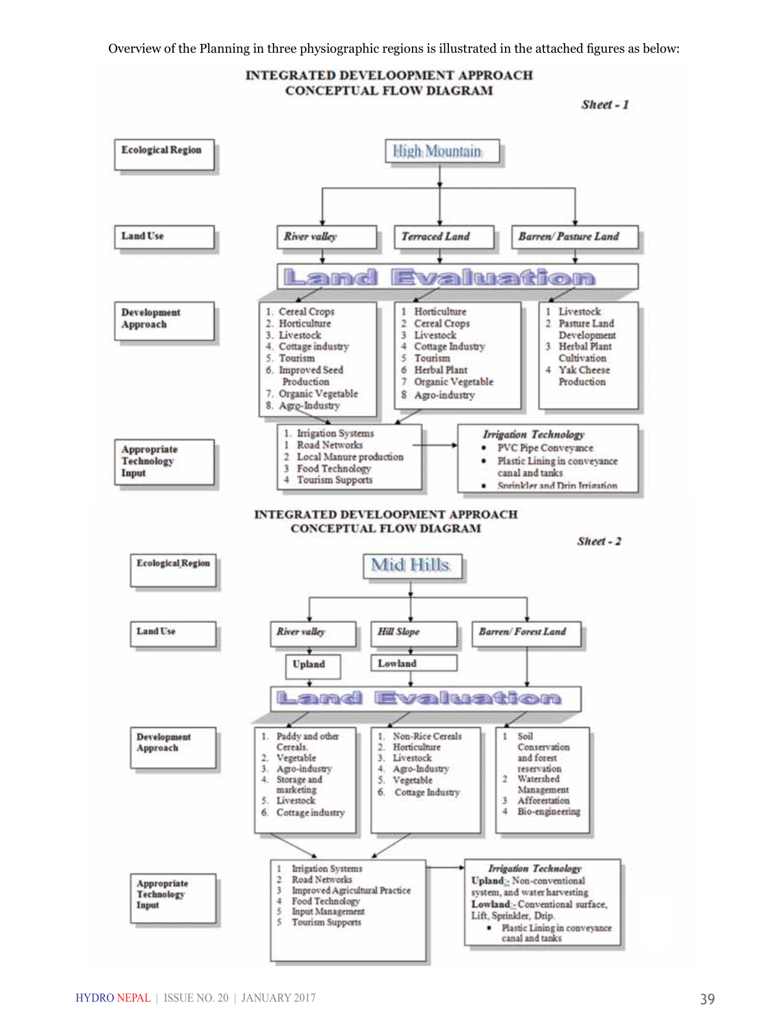

canal and tanks